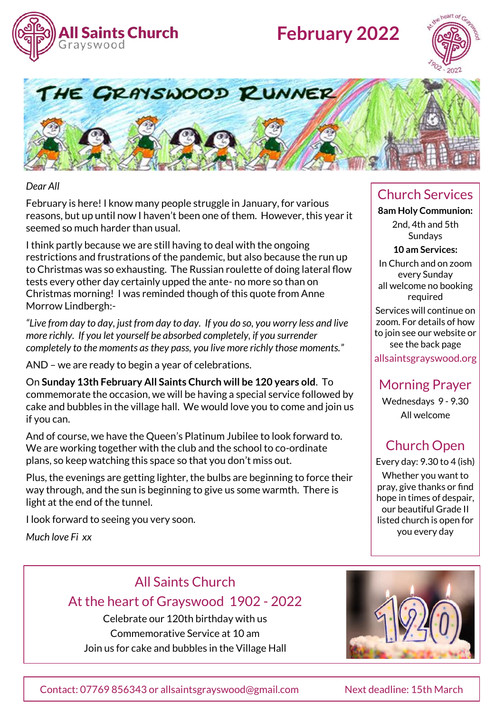

# **February 2022**





#### *Dear All*

February is here! I know many people struggle in January, for various reasons, but up until now I haven't been one of them. However, this year it seemed so much harder than usual.

I think partly because we are still having to deal with the ongoing restrictions and frustrations of the pandemic, but also because the run up to Christmas was so exhausting. The Russian roulette of doing lateral flow tests every other day certainly upped the ante- no more so than on Christmas morning! I was reminded though of this quote from Anne Morrow Lindbergh:-

*"Live from day to day, just from day to day. If you do so, you worry less and live more richly. If you let yourself be absorbed completely, if you surrender completely to the moments as they pass, you live more richly those moments."*

AND – we are ready to begin a year of celebrations.

On **Sunday 13th February All Saints Church will be 120 years old**. To commemorate the occasion, we will be having a special service followed by cake and bubbles in the village hall. We would love you to come and join us if you can.

And of course, we have the Queen's Platinum Jubilee to look forward to. We are working together with the club and the school to co-ordinate plans, so keep watching this space so that you don't miss out.

Plus, the evenings are getting lighter, the bulbs are beginning to force their way through, and the sun is beginning to give us some warmth. There is light at the end of the tunnel.

I look forward to seeing you very soon.

*Much love Fi xx*

### Church Services

**8am Holy Communion:**  2nd, 4th and 5th **Sundays** 

**10 am Services:** 

In Church and on zoom every Sunday all welcome no booking required

Services will continue on zoom. For details of how to join see our website or see the back page

allsaintsgrayswood.org

### Morning Prayer

Wednesdays 9 - 9.30 All welcome

# Church Open

Every day: 9.30 to 4 (ish) Whether you want to pray, give thanks or find hope in times of despair, our beautiful Grade II listed church is open for you every day

### All Saints Church At the heart of Grayswood 1902 - 2022

Celebrate our 120th birthday with us Commemorative Service at 10 am Join us for cake and bubbles in the Village Hall

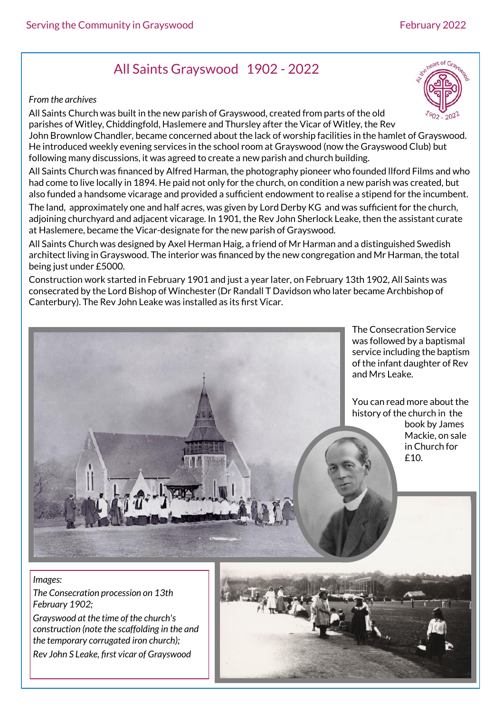# All Saints Grayswood 1902 - 2022

#### *From the archives*

All Saints Church was built in the new parish of Grayswood, created from parts of the old parishes of Witley, Chiddingfold, Haslemere and Thursley after the Vicar of Witley, the Rev John Brownlow Chandler, became concerned about the lack of worship facilities in the hamlet of Grayswood. He introduced weekly evening services in the school room at Grayswood (now the Grayswood Club) but following many discussions, it was agreed to create a new parish and church building.

All Saints Church was financed by Alfred Harman, the photography pioneer who founded llford Films and who had come to live locally in 1894. He paid not only for the church, on condition a new parish was created, but also funded a handsome vicarage and provided a sufficient endowment to realise a stipend for the incumbent.

The land, approximately one and half acres, was given by Lord Derby KG and was sufficient for the church, adjoining churchyard and adjacent vicarage. In 1901, the Rev John Sherlock Leake, then the assistant curate at Haslemere, became the Vicar-designate for the new parish of Grayswood.

All Saints Church was designed by Axel Herman Haig, a friend of Mr Harman and a distinguished Swedish architect living in Grayswood. The interior was financed by the new congregation and Mr Harman, the total being just under £5000.

Construction work started in February 1901 and just a year later, on February 13th 1902, All Saints was consecrated by the Lord Bishop of Winchester (Dr Randall T Davidson who later became Archbishop of Canterbury). The Rev John Leake was installed as its first Vicar.

> The Consecration Service was followed by a baptismal service including the baptism of the infant daughter of Rev and Mrs Leake.

You can read more about the history of the church in the book by James

Mackie, on sale in Church for £10.

#### *Images:*

*The Consecration procession on 13th February 1902;* 

*Grayswood at the time of the church's construction (note the scaffolding in the and the temporary corrugated iron church); Rev John S Leake, first vicar of Grayswood*



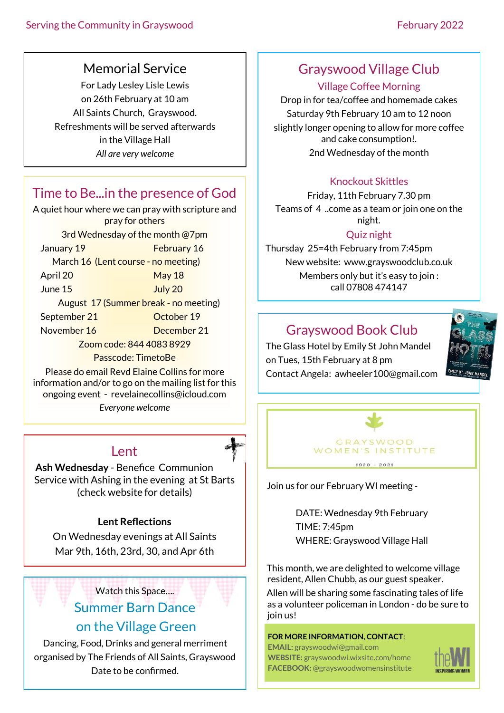### Memorial Service

For Lady Lesley Lisle Lewis on 26th February at 10 am All Saints Church, Grayswood. Refreshments will be served afterwards in the Village Hall *All are very welcome*

## Time to Be...in the presence of God

A quiet hour where we can pray with scripture and pray for others 3rd Wednesday of the month @7pm January 19 February 16 March 16 (Lent course - no meeting) April 20 May 18 June 15 July 20 August 17 (Summer break - no meeting) September 21 October 19 November 16 December 21 Zoom code: 844 4083 8929 Passcode: TimetoBe Please do email Revd Elaine Collins for more

information and/or to go on the mailing list for this ongoing event - revelainecollins@icloud.com

*Everyone welcome*

### Lent

**Ash Wednesday** - Benefice Communion Service with Ashing in the evening at St Barts (check website for details)

#### **Lent Reflections**

On Wednesday evenings at All Saints Mar 9th, 16th, 23rd, 30, and Apr 6th

### Watch this Space….

### Summer Barn Dance on the Village Green

Dancing, Food, Drinks and general merriment organised by The Friends of All Saints, Grayswood Date to be confirmed.

### Grayswood Village Club

#### Village Coffee Morning

Drop in for tea/coffee and homemade cakes Saturday 9th February 10 am to 12 noon slightly longer opening to allow for more coffee and cake consumption!. 2nd Wednesday of the month

### Knockout Skittles

Friday, 11th February 7.30 pm Teams of 4 ..come as a team or join one on the night.

### Quiz night

Thursday 25=4th February from 7:45pm New website: www.grayswoodclub.co.uk Members only but it's easy to join : call 07808 474147

## Grayswood Book Club

The Glass Hotel by Emily St John Mandel on Tues, 15th February at 8 pm Contact Angela: awheeler100@gmail.com





Join us for our February WI meeting -

DATE: Wednesday 9th February TIME: 7:45pm WHERE: Grayswood Village Hall

This month, we are delighted to welcome village resident, Allen Chubb, as our guest speaker. Allen will be sharing some fascinating tales of life as a volunteer policeman in London - do be sure to join us!

#### **FOR MORE INFORMATION, CONTACT**:

**EMAIL:** grayswoodwi@gmail.com **WEBSITE:** grayswoodwi.wixsite.com/home **FACEBOOK:** @grayswoodwomensinstitute